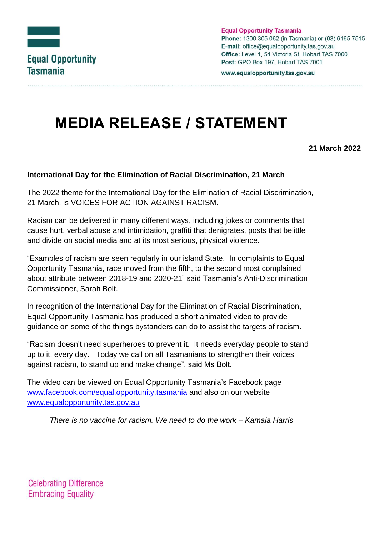

**Equal Opportunity Tasmania** Phone: 1300 305 062 (in Tasmania) or (03) 6165 7515 E-mail: office@equalopportunity.tas.gov.au Office: Level 1, 54 Victoria St. Hobart TAS 7000 Post: GPO Box 197, Hobart TAS 7001

www.equalopportunity.tas.gov.au

## **MEDIA RELEASE / STATEMENT**

## **21 March 2022**

## **International Day for the Elimination of Racial Discrimination, 21 March**

The 2022 theme for the International Day for the Elimination of Racial Discrimination, 21 March, is VOICES FOR ACTION AGAINST RACISM.

Racism can be delivered in many different ways, including jokes or comments that cause hurt, verbal abuse and intimidation, graffiti that denigrates, posts that belittle and divide on social media and at its most serious, physical violence.

"Examples of racism are seen regularly in our island State. In complaints to Equal Opportunity Tasmania, race moved from the fifth, to the second most complained about attribute between 2018-19 and 2020-21" said Tasmania's Anti-Discrimination Commissioner, Sarah Bolt.

In recognition of the International Day for the Elimination of Racial Discrimination, Equal Opportunity Tasmania has produced a short animated video to provide guidance on some of the things bystanders can do to assist the targets of racism.

"Racism doesn't need superheroes to prevent it. It needs everyday people to stand up to it, every day. Today we call on all Tasmanians to strengthen their voices against racism, to stand up and make change", said Ms Bolt.

The video can be viewed on Equal Opportunity Tasmania's Facebook page [www.facebook.com/equal.opportunity.tasmania](http://www.facebook.com/equal.opportunity.tasmania) and also on our website [www.equalopportunity.tas.gov.au](http://www.equalopportunity.tas.gov.au/)

*There is no vaccine for racism. We need to do the work – Kamala Harris*

**Celebrating Difference Embracing Equality**